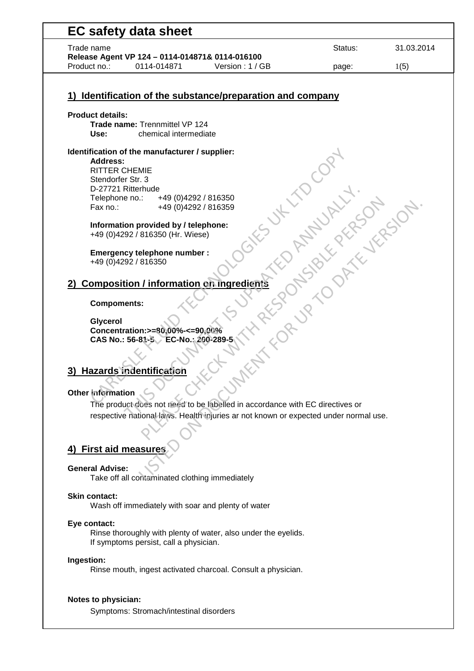| Trade name                                                                                                               | Status:                      | 31.03.2014 |
|--------------------------------------------------------------------------------------------------------------------------|------------------------------|------------|
| Release Agent VP 124 - 0114-014871& 0114-016100<br>Version: 1 / GB<br>Product no.:<br>0114-014871                        | page:                        | 1(5)       |
| Identification of the substance/preparation and company<br>1)                                                            |                              |            |
|                                                                                                                          |                              |            |
| <b>Product details:</b><br>Trade name: Trennmittel VP 124<br>chemical intermediate<br>Use:                               |                              |            |
| Identification of the manufacturer / supplier:<br>Address:                                                               |                              |            |
| <b>RITTER CHEMIE</b><br>Stendorfer Str. 3<br>D-27721 Ritterhude                                                          |                              |            |
| +49 (0)4292 / 816350<br>Telephone no.:<br>Fax no.:<br>+49 (0)4292 / 816359                                               |                              |            |
| Information provided by / telephone:<br>+49 (0)4292 / 816350 (Hr. Wiese)                                                 |                              |            |
| <b>Emergency telephone number:</b><br>+49 (0)4292 / 816350                                                               |                              |            |
| <b>Composition / information on ingredients</b>                                                                          |                              |            |
| <b>Compoments:</b>                                                                                                       |                              |            |
| Glycerol<br>Concentration: >=80,00%-<= 90,00%<br>CAS No.: 56-81-5 EC-No.: 200-289-5                                      | X RESOURCES IN THE MANUSCRAP |            |
|                                                                                                                          |                              |            |
| <b>Hazards indentification</b><br>3)                                                                                     |                              |            |
| Other information                                                                                                        |                              |            |
| The product does not need to be labelled in accordance with EC directives or                                             |                              |            |
| respective national laws. Health injuries ar not known or expected under normal use.                                     |                              |            |
| 4) First aid measures                                                                                                    |                              |            |
| <b>General Advise:</b><br>Take off all contaminated clothing immediately                                                 |                              |            |
| <b>Skin contact:</b><br>Wash off immediately with soar and plenty of water                                               |                              |            |
| Eye contact:<br>Rinse thoroughly with plenty of water, also under the eyelids.<br>If symptoms persist, call a physician. |                              |            |
| Ingestion:<br>Rinse mouth, ingest activated charcoal. Consult a physician.                                               |                              |            |
| Notes to physician:                                                                                                      |                              |            |
| Symptoms: Stromach/intestinal disorders                                                                                  |                              |            |

 $\overline{\phantom{0}}$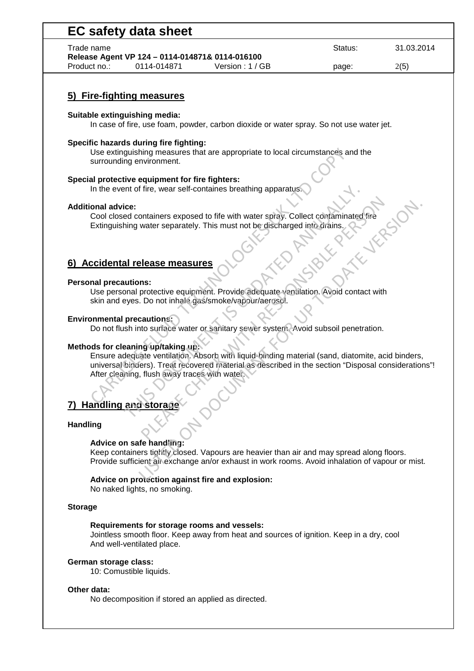| Trade name                   |                                                  |                                                                                                                                                                                                         | Status:     | 31.03.2014 |
|------------------------------|--------------------------------------------------|---------------------------------------------------------------------------------------------------------------------------------------------------------------------------------------------------------|-------------|------------|
|                              | Release Agent VP 124 - 0114-014871& 0114-016100  |                                                                                                                                                                                                         |             |            |
| Product no.:                 | 0114-014871                                      | Version: 1 / GB                                                                                                                                                                                         | page:       | 2(5)       |
|                              |                                                  |                                                                                                                                                                                                         |             |            |
|                              | 5) Fire-fighting measures                        |                                                                                                                                                                                                         |             |            |
|                              | Suitable extinguishing media:                    | In case of fire, use foam, powder, carbon dioxide or water spray. So not use water jet.                                                                                                                 |             |            |
|                              |                                                  |                                                                                                                                                                                                         |             |            |
|                              | Specific hazards during fire fighting:           | Use extinguishing measures that are appropriate to local circumstances and the                                                                                                                          |             |            |
|                              | surrounding environment.                         |                                                                                                                                                                                                         |             |            |
|                              |                                                  |                                                                                                                                                                                                         |             |            |
|                              | Special protective equipment for fire fighters:  |                                                                                                                                                                                                         |             |            |
|                              |                                                  | In the event of fire, wear self-containes breathing apparatus.                                                                                                                                          |             |            |
| <b>Additional advice:</b>    |                                                  |                                                                                                                                                                                                         |             |            |
|                              |                                                  | Cool closed containers exposed to fife with water spray. Collect contaminated fire                                                                                                                      |             |            |
|                              |                                                  | Extinguishing water separately. This must not be discharged into drains.                                                                                                                                |             |            |
|                              |                                                  |                                                                                                                                                                                                         | C. Y. V. R. |            |
|                              |                                                  |                                                                                                                                                                                                         | Ari Ki      |            |
|                              | 6) Accidental release measures                   |                                                                                                                                                                                                         |             |            |
|                              |                                                  |                                                                                                                                                                                                         |             |            |
| <b>Personal precautions:</b> |                                                  |                                                                                                                                                                                                         |             |            |
|                              |                                                  | Use personal protective equipment. Provide adequate ventilation. Avoid contact with<br>skin and eyes. Do not inhale gas/smoke/vapour/aerosol.                                                           |             |            |
|                              |                                                  |                                                                                                                                                                                                         |             |            |
|                              |                                                  |                                                                                                                                                                                                         |             |            |
|                              | <b>Environmental precautions:</b>                |                                                                                                                                                                                                         |             |            |
|                              |                                                  | Do not flush into surface water or sanitary sewer system. Avoid subsoil penetration.                                                                                                                    |             |            |
|                              |                                                  |                                                                                                                                                                                                         |             |            |
|                              | Methods for cleaning up/taking up:               |                                                                                                                                                                                                         |             |            |
|                              |                                                  | Ensure adequate ventilation. Absorb with liquid-binding material (sand, diatomite, acid binders,<br>universal binders). Treat recovered material as described in the section "Disposal considerations"! |             |            |
|                              | After cleaning, flush away traces with water.    |                                                                                                                                                                                                         |             |            |
|                              |                                                  |                                                                                                                                                                                                         |             |            |
|                              |                                                  |                                                                                                                                                                                                         |             |            |
|                              | <b>Handling and storage</b>                      |                                                                                                                                                                                                         |             |            |
|                              |                                                  |                                                                                                                                                                                                         |             |            |
| <b>Handling</b>              |                                                  |                                                                                                                                                                                                         |             |            |
|                              | Advice on safe handling:                         |                                                                                                                                                                                                         |             |            |
|                              |                                                  | Keep containers tightly closed. Vapours are heavier than air and may spread along floors.                                                                                                               |             |            |
|                              |                                                  | Provide sufficient air exchange an/or exhaust in work rooms. Avoid inhalation of vapour or mist.                                                                                                        |             |            |
|                              | Advice on protection against fire and explosion: |                                                                                                                                                                                                         |             |            |
|                              | No naked lights, no smoking.                     |                                                                                                                                                                                                         |             |            |
|                              |                                                  |                                                                                                                                                                                                         |             |            |
| <b>Storage</b>               |                                                  |                                                                                                                                                                                                         |             |            |
|                              |                                                  |                                                                                                                                                                                                         |             |            |
|                              | Requirements for storage rooms and vessels:      | Jointless smooth floor. Keep away from heat and sources of ignition. Keep in a dry, cool                                                                                                                |             |            |

#### **German storage class:**

10: Comustible liquids.

### **Other data:**

No decomposition if stored an applied as directed.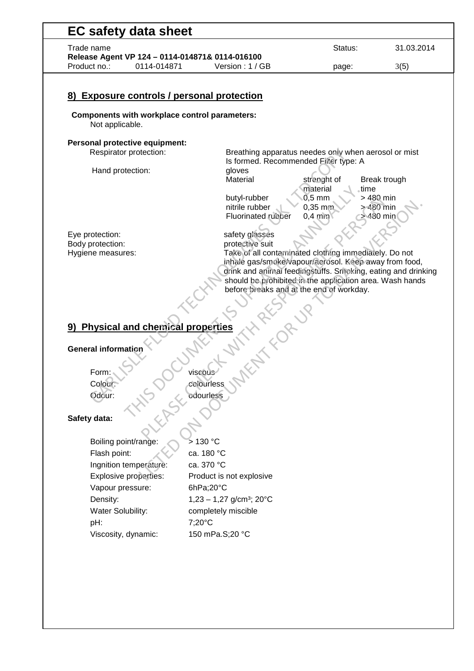| Trade name                                                                                                     |                                                                                                                                                                                                                                                                                                           | Status:                                               | 31.03.2014                           |
|----------------------------------------------------------------------------------------------------------------|-----------------------------------------------------------------------------------------------------------------------------------------------------------------------------------------------------------------------------------------------------------------------------------------------------------|-------------------------------------------------------|--------------------------------------|
| Release Agent VP 124 - 0114-014871& 0114-016100                                                                |                                                                                                                                                                                                                                                                                                           |                                                       |                                      |
| Product no.:<br>0114-014871                                                                                    | Version: 1 / GB                                                                                                                                                                                                                                                                                           | page:                                                 | 3(5)                                 |
| 8) Exposure controls / personal protection<br>Components with workplace control parameters:<br>Not applicable. |                                                                                                                                                                                                                                                                                                           |                                                       |                                      |
| Personal protective equipment:                                                                                 |                                                                                                                                                                                                                                                                                                           |                                                       |                                      |
| Respirator protection:                                                                                         | Breathing apparatus needes only when aerosol or mist<br>Is formed. Recommended Filter type: A                                                                                                                                                                                                             |                                                       |                                      |
| Hand protection:                                                                                               | gloves<br>Material                                                                                                                                                                                                                                                                                        | strenght of                                           | Break trough                         |
|                                                                                                                | butyl-rubber<br>nitrile rubber<br><b>Fluorinated rubber</b>                                                                                                                                                                                                                                               | material<br>time<br>$0,5$ mm<br>$0,35$ mm<br>$0,4$ mm | > 480 min<br>$>480$ min<br>> 480 min |
| Eye protection:                                                                                                | safety glasses                                                                                                                                                                                                                                                                                            |                                                       |                                      |
| Body protection:<br>Hygiene measures:                                                                          | protective suit<br>Take of all contaminated clothing immediately. Do not<br>inhale gas/smoke/vapour/aerosol. Keep away from food,<br>drink and animal feedingstuffs. Smoking, eating and drinking<br>should be prohibited in the application area. Wash hands<br>before breaks and at the end of workday. |                                                       |                                      |
|                                                                                                                | <b>INTERNATION</b>                                                                                                                                                                                                                                                                                        |                                                       |                                      |
| 9) Physical and chemical properties                                                                            |                                                                                                                                                                                                                                                                                                           |                                                       |                                      |
| <b>General information</b>                                                                                     |                                                                                                                                                                                                                                                                                                           |                                                       |                                      |
| Form:                                                                                                          | viscous                                                                                                                                                                                                                                                                                                   |                                                       |                                      |
| Colour:                                                                                                        | colourless                                                                                                                                                                                                                                                                                                |                                                       |                                      |
| Odour:                                                                                                         | odourless                                                                                                                                                                                                                                                                                                 |                                                       |                                      |
| Safety data:                                                                                                   |                                                                                                                                                                                                                                                                                                           |                                                       |                                      |
| Boiling point/range:                                                                                           | >130 °C                                                                                                                                                                                                                                                                                                   |                                                       |                                      |
| Flash point:                                                                                                   | ca. 180 °C                                                                                                                                                                                                                                                                                                |                                                       |                                      |
| Ingnition temperature:                                                                                         | ca. 370 °C                                                                                                                                                                                                                                                                                                |                                                       |                                      |
| Explosive properties:                                                                                          | Product is not explosive                                                                                                                                                                                                                                                                                  |                                                       |                                      |

 Explosive properties: Product is not explosive Vapour pressure: 6hPa;20°C Density:  $1,23 - 1,27$  g/cm<sup>3</sup>; 20 $^{\circ}$ C Water Solubility: completely miscible pH: 7;20°C Viscosity, dynamic: 150 mPa.S;20 °C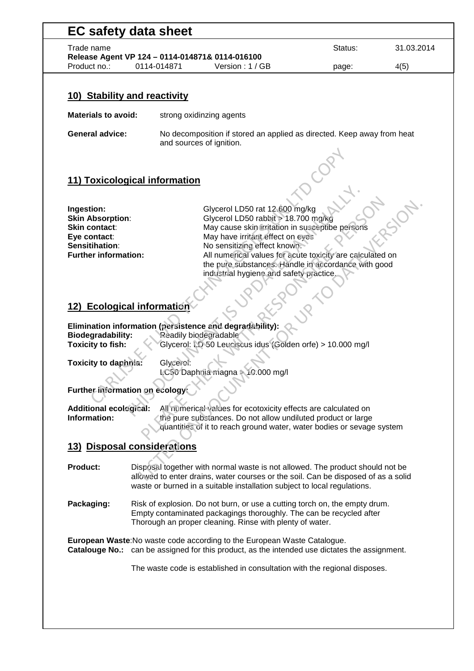| <b>EC safety data sheet</b><br>Trade name                                                      |  |                          | Status: | 31.03.2014 |
|------------------------------------------------------------------------------------------------|--|--------------------------|---------|------------|
| Release Agent VP 124 - 0114-014871& 0114-016100<br>Product no.:<br>0114-014871 Version: 1 / GB |  | page:                    | 4(5)    |            |
| 10) Stability and reactivity                                                                   |  |                          |         |            |
|                                                                                                |  |                          |         |            |
| Materials to avoid:                                                                            |  | strong oxidinzing agents |         |            |

# **11) Toxicological information**

| 11) Toxicological information                 |                                                                                                                  |
|-----------------------------------------------|------------------------------------------------------------------------------------------------------------------|
|                                               |                                                                                                                  |
| Ingestion:<br><b>Skin Absorption:</b>         | Glycerol LD50 rat 12.600 mg/kg<br>Glycerol LD50 rabbit > 18.700 mg/kg                                            |
| Skin contact:                                 | May cause skin irritation in susceptibe persons                                                                  |
| Eye contact:                                  | May have irritant effect on eves                                                                                 |
| Sensitihation:<br><b>Further information:</b> | No sensitizing effect known.                                                                                     |
|                                               | All numerical values for acute toxicity are calculated on<br>the pure substances. Handle in accordance with good |
|                                               | industrial hygiene and safety practice.                                                                          |
|                                               |                                                                                                                  |
|                                               |                                                                                                                  |
|                                               |                                                                                                                  |
| 12) Ecological information                    |                                                                                                                  |
|                                               |                                                                                                                  |
| <b>Biodegradability:</b>                      | Elimination information (persistence and degradability):<br>Readily biodegradable                                |
| <b>Toxicity to fish:</b>                      | Glycerol: LD 50 Leuciscus idus (Golden orfe) > 10.000 mg/l                                                       |
|                                               |                                                                                                                  |
| Toxicity to daphnia:                          | Glycerol:                                                                                                        |
|                                               | LC50 Daphnia magna > 10.000 mg/l                                                                                 |
|                                               |                                                                                                                  |
| Further information on ecology:               |                                                                                                                  |
| <b>Additional ecological:</b>                 | All numerical values for ecotoxicity effects are calculated on                                                   |
| Information:                                  | the pure substances. Do not allow undiluted product or large                                                     |
|                                               | quantities of it to reach ground water, water bodies or sevage system                                            |
|                                               |                                                                                                                  |
| 13) Disposal considerations                   |                                                                                                                  |
|                                               |                                                                                                                  |
| <b>Product:</b>                               | Disposal together with normal waste is not allowed. The product should not be                                    |
|                                               | allowed to enter drains, water courses or the soil. Can be disposed of as a solid                                |

## **12) Ecological information**

## **Further information on ecology:**

# **13) Disposal considerations**

- **Product:** Disposal together with normal waste is not allowed. The product should not be allowed to enter drains, water courses or the soil. Can be disposed of as a solid waste or burned in a suitable installation subject to local regulations.
- **Packaging:** Risk of explosion. Do not burn, or use a cutting torch on, the empty drum. Empty contaminated packagings thoroughly. The can be recycled after Thorough an proper cleaning. Rinse with plenty of water.

**European Waste**:No waste code according to the European Waste Catalogue. **Catalouge No.:** can be assigned for this product, as the intended use dictates the assignment.

The waste code is established in consultation with the regional disposes.